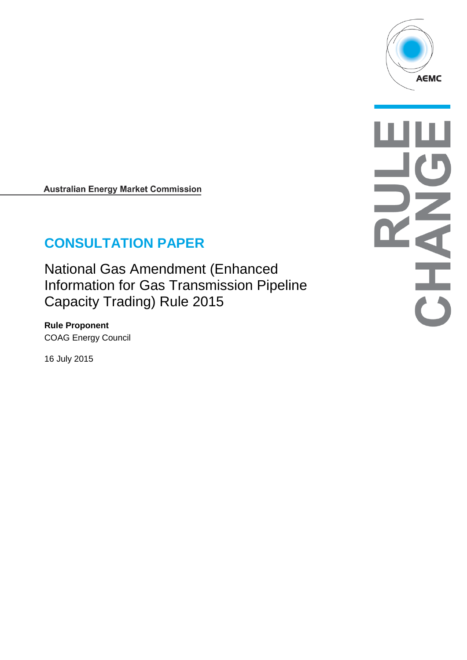

**Australian Energy Market Commission** 

# **CONSULTATION PAPER**

National Gas Amendment (Enhanced Information for Gas Transmission Pipeline Capacity Trading) Rule 2015

**Rule Proponent** COAG Energy Council

16 July 2015

**READER**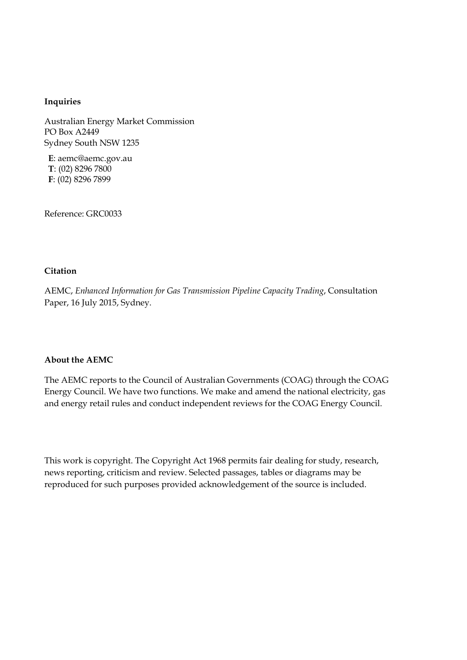#### **Inquiries**

Australian Energy Market Commission PO Box A2449 Sydney South NSW 1235

**E**: aemc@aemc.gov.au **T**: (02) 8296 7800 **F**: (02) 8296 7899

Reference: GRC0033

#### **Citation**

AEMC, *Enhanced Information for Gas Transmission Pipeline Capacity Trading*, Consultation Paper, 16 July 2015, Sydney.

#### **About the AEMC**

The AEMC reports to the Council of Australian Governments (COAG) through the COAG Energy Council. We have two functions. We make and amend the national electricity, gas and energy retail rules and conduct independent reviews for the COAG Energy Council.

This work is copyright. The Copyright Act 1968 permits fair dealing for study, research, news reporting, criticism and review. Selected passages, tables or diagrams may be reproduced for such purposes provided acknowledgement of the source is included.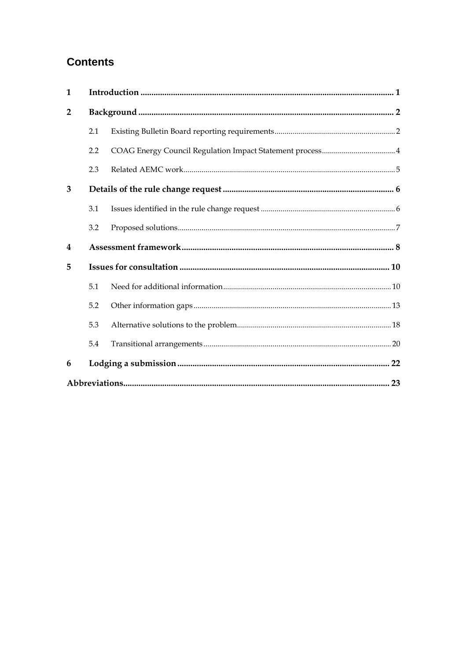# **Contents**

| $\mathbf{1}$   |     |  |
|----------------|-----|--|
| $\overline{2}$ |     |  |
|                | 2.1 |  |
|                | 2.2 |  |
|                | 2.3 |  |
| 3              |     |  |
|                | 3.1 |  |
|                | 3.2 |  |
| 4              |     |  |
| 5              |     |  |
|                | 5.1 |  |
|                | 5.2 |  |
|                | 5.3 |  |
|                | 5.4 |  |
| 6              |     |  |
|                |     |  |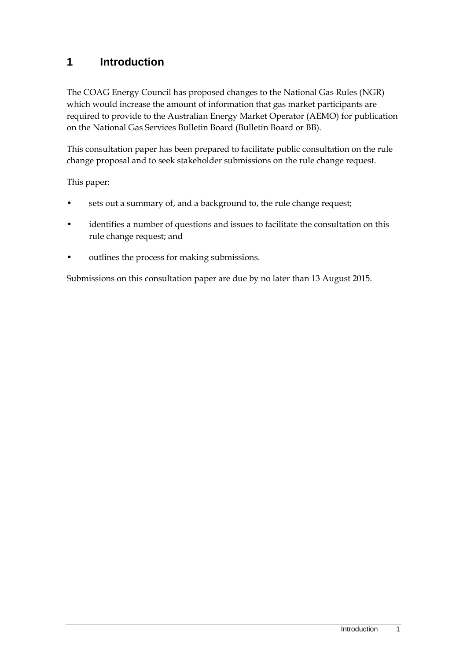### <span id="page-3-0"></span>**1 Introduction**

The COAG Energy Council has proposed changes to the National Gas Rules (NGR) which would increase the amount of information that gas market participants are required to provide to the Australian Energy Market Operator (AEMO) for publication on the National Gas Services Bulletin Board (Bulletin Board or BB).

This consultation paper has been prepared to facilitate public consultation on the rule change proposal and to seek stakeholder submissions on the rule change request.

This paper:

- sets out a summary of, and a background to, the rule change request;
- identifies a number of questions and issues to facilitate the consultation on this rule change request; and
- outlines the process for making submissions.

Submissions on this consultation paper are due by no later than 13 August 2015.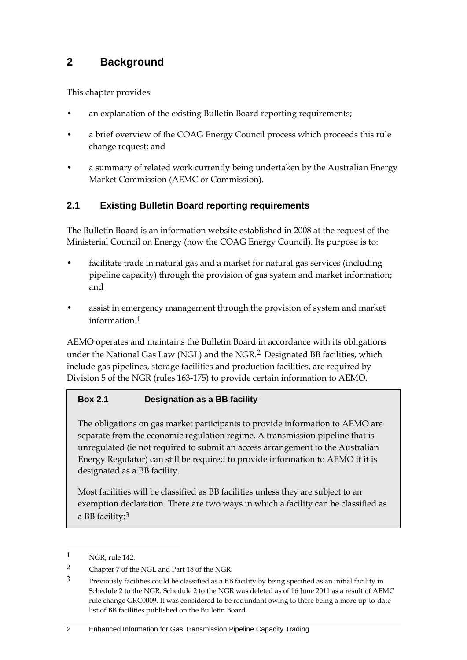### <span id="page-4-0"></span>**2 Background**

This chapter provides:

- an explanation of the existing Bulletin Board reporting requirements;
- a brief overview of the COAG Energy Council process which proceeds this rule change request; and
- a summary of related work currently being undertaken by the Australian Energy Market Commission (AEMC or Commission).

### <span id="page-4-1"></span>**2.1 Existing Bulletin Board reporting requirements**

The Bulletin Board is an information website established in 2008 at the request of the Ministerial Council on Energy (now the COAG Energy Council). Its purpose is to:

- facilitate trade in natural gas and a market for natural gas services (including pipeline capacity) through the provision of gas system and market information; and
- assist in emergency management through the provision of system and market information.[1](#page-4-2)

AEMO operates and maintains the Bulletin Board in accordance with its obligations under the National Gas Law (NGL) and the NGR.<sup>[2](#page-4-3)</sup> Designated BB facilities, which include gas pipelines, storage facilities and production facilities, are required by Division 5 of the NGR (rules 163-175) to provide certain information to AEMO.

#### **Box 2.1 Designation as a BB facility**

The obligations on gas market participants to provide information to AEMO are separate from the economic regulation regime. A transmission pipeline that is unregulated (ie not required to submit an access arrangement to the Australian Energy Regulator) can still be required to provide information to AEMO if it is designated as a BB facility.

Most facilities will be classified as BB facilities unless they are subject to an exemption declaration. There are two ways in which a facility can be classified as a BB facility:[3](#page-4-4)

<span id="page-4-2"></span><sup>1</sup> NGR, rule 142.

<span id="page-4-3"></span><sup>2</sup> Chapter 7 of the NGL and Part 18 of the NGR.

<span id="page-4-4"></span><sup>3</sup> Previously facilities could be classified as a BB facility by being specified as an initial facility in Schedule 2 to the NGR. Schedule 2 to the NGR was deleted as of 16 June 2011 as a result of AEMC rule change GRC0009. It was considered to be redundant owing to there being a more up-to-date list of BB facilities published on the Bulletin Board.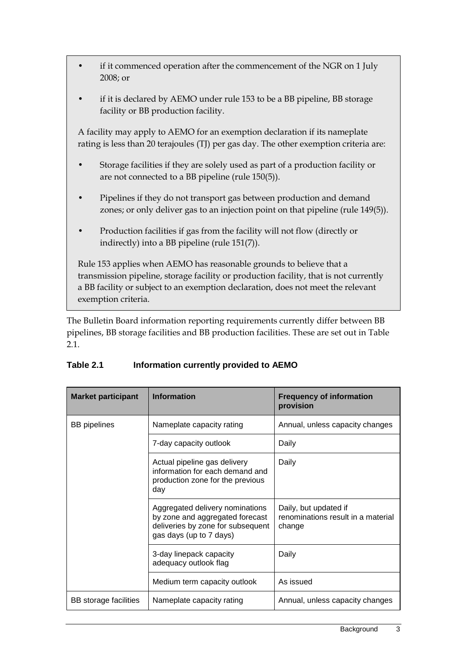- if it commenced operation after the commencement of the NGR on 1 July 2008; or
- if it is declared by AEMO under rule 153 to be a BB pipeline, BB storage facility or BB production facility.

A facility may apply to AEMO for an exemption declaration if its nameplate rating is less than 20 terajoules (TJ) per gas day. The other exemption criteria are:

- Storage facilities if they are solely used as part of a production facility or are not connected to a BB pipeline (rule 150(5)).
- Pipelines if they do not transport gas between production and demand zones; or only deliver gas to an injection point on that pipeline (rule 149(5)).
- Production facilities if gas from the facility will not flow (directly or indirectly) into a BB pipeline (rule 151(7)).

Rule 153 applies when AEMO has reasonable grounds to believe that a transmission pipeline, storage facility or production facility, that is not currently a BB facility or subject to an exemption declaration, does not meet the relevant exemption criteria.

The Bulletin Board information reporting requirements currently differ between BB pipelines, BB storage facilities and BB production facilities. These are set out in Table 2.1.

| <b>Market participant</b> | <b>Information</b>                                                                                                                 | <b>Frequency of information</b><br>provision                          |
|---------------------------|------------------------------------------------------------------------------------------------------------------------------------|-----------------------------------------------------------------------|
| <b>BB</b> pipelines       | Nameplate capacity rating                                                                                                          | Annual, unless capacity changes                                       |
|                           | 7-day capacity outlook                                                                                                             | Daily                                                                 |
|                           | Actual pipeline gas delivery<br>information for each demand and<br>production zone for the previous<br>day                         | Daily                                                                 |
|                           | Aggregated delivery nominations<br>by zone and aggregated forecast<br>deliveries by zone for subsequent<br>gas days (up to 7 days) | Daily, but updated if<br>renominations result in a material<br>change |
|                           | 3-day linepack capacity<br>adequacy outlook flag                                                                                   | Daily                                                                 |
|                           | Medium term capacity outlook                                                                                                       | As issued                                                             |
| BB storage facilities     | Nameplate capacity rating                                                                                                          | Annual, unless capacity changes                                       |

#### **Table 2.1 Information currently provided to AEMO**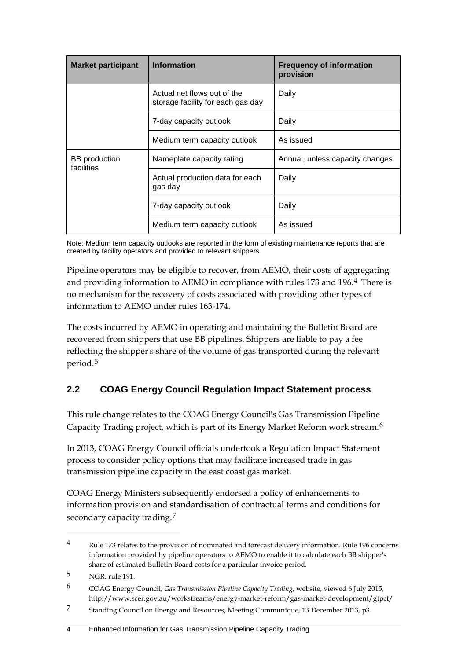| <b>Market participant</b>          | <b>Information</b>                                               | <b>Frequency of information</b><br>provision |
|------------------------------------|------------------------------------------------------------------|----------------------------------------------|
|                                    | Actual net flows out of the<br>storage facility for each gas day | Daily                                        |
|                                    | 7-day capacity outlook                                           | Daily                                        |
|                                    | Medium term capacity outlook                                     | As issued                                    |
| <b>BB</b> production<br>facilities | Nameplate capacity rating                                        | Annual, unless capacity changes              |
|                                    | Actual production data for each<br>gas day                       | Daily                                        |
|                                    | 7-day capacity outlook                                           | Daily                                        |
|                                    | Medium term capacity outlook                                     | As issued                                    |

Note: Medium term capacity outlooks are reported in the form of existing maintenance reports that are created by facility operators and provided to relevant shippers.

Pipeline operators may be eligible to recover, from AEMO, their costs of aggregating and providing information to AEMO in compliance with rules 173 and 196.[4](#page-6-1) There is no mechanism for the recovery of costs associated with providing other types of information to AEMO under rules 163-174.

The costs incurred by AEMO in operating and maintaining the Bulletin Board are recovered from shippers that use BB pipelines. Shippers are liable to pay a fee reflecting the shipper's share of the volume of gas transported during the relevant period.[5](#page-6-2)

### <span id="page-6-0"></span>**2.2 COAG Energy Council Regulation Impact Statement process**

This rule change relates to the COAG Energy Council's Gas Transmission Pipeline Capacity Trading project, which is part of its Energy Market Reform work stream.[6](#page-6-3)

In 2013, COAG Energy Council officials undertook a Regulation Impact Statement process to consider policy options that may facilitate increased trade in gas transmission pipeline capacity in the east coast gas market.

COAG Energy Ministers subsequently endorsed a policy of enhancements to information provision and standardisation of contractual terms and conditions for secondary capacity trading.<sup>[7](#page-7-1)</sup>

<span id="page-6-1"></span><sup>4</sup> Rule 173 relates to the provision of nominated and forecast delivery information. Rule 196 concerns information provided by pipeline operators to AEMO to enable it to calculate each BB shipper's share of estimated Bulletin Board costs for a particular invoice period.

<sup>5</sup> NGR, rule 191.

<span id="page-6-2"></span><sup>6</sup> COAG Energy Council, *Gas Transmission Pipeline Capacity Trading*, website, viewed 6 July 2015, http://www.scer.gov.au/workstreams/energy-market-reform/gas-market-development/gtpct/

<span id="page-6-3"></span><sup>7</sup> Standing Council on Energy and Resources, Meeting Communique, 13 December 2013, p3.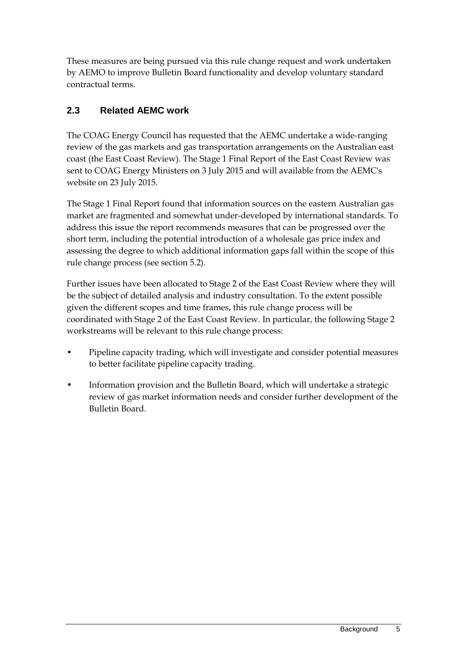These measures are being pursued via this rule change request and work undertaken by AEMO to improve Bulletin Board functionality and develop voluntary standard contractual terms.

### <span id="page-7-0"></span>**2.3 Related AEMC work**

The COAG Energy Council has requested that the AEMC undertake a wide-ranging review of the gas markets and gas transportation arrangements on the Australian east coast (the East Coast Review). The Stage 1 Final Report of the East Coast Review was sent to COAG Energy Ministers on 3 July 2015 and will available from the AEMC's website on 23 July 2015.

The Stage 1 Final Report found that information sources on the eastern Australian gas market are fragmented and somewhat under-developed by international standards. To address this issue the report recommends measures that can be progressed over the short term, including the potential introduction of a wholesale gas price index and assessing the degree to which additional information gaps fall within the scope of this rule change process (see section [5.2\)](#page-15-0).

Further issues have been allocated to Stage 2 of the East Coast Review where they will be the subject of detailed analysis and industry consultation. To the extent possible given the different scopes and time frames, this rule change process will be coordinated with Stage 2 of the East Coast Review. In particular, the following Stage 2 workstreams will be relevant to this rule change process:

- Pipeline capacity trading, which will investigate and consider potential measures to better facilitate pipeline capacity trading.
- <span id="page-7-1"></span>• Information provision and the Bulletin Board, which will undertake a strategic review of gas market information needs and consider further development of the Bulletin Board.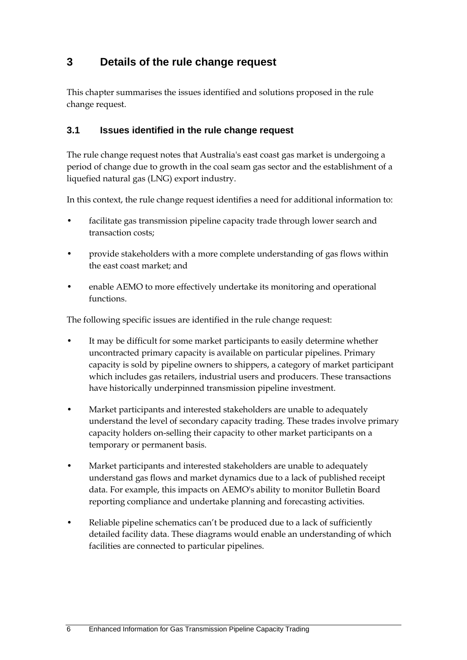# <span id="page-8-0"></span>**3 Details of the rule change request**

This chapter summarises the issues identified and solutions proposed in the rule change request.

#### <span id="page-8-1"></span>**3.1 Issues identified in the rule change request**

The rule change request notes that Australia's east coast gas market is undergoing a period of change due to growth in the coal seam gas sector and the establishment of a liquefied natural gas (LNG) export industry.

In this context, the rule change request identifies a need for additional information to:

- facilitate gas transmission pipeline capacity trade through lower search and transaction costs;
- provide stakeholders with a more complete understanding of gas flows within the east coast market; and
- enable AEMO to more effectively undertake its monitoring and operational functions.

The following specific issues are identified in the rule change request:

- It may be difficult for some market participants to easily determine whether uncontracted primary capacity is available on particular pipelines. Primary capacity is sold by pipeline owners to shippers, a category of market participant which includes gas retailers, industrial users and producers. These transactions have historically underpinned transmission pipeline investment.
- Market participants and interested stakeholders are unable to adequately understand the level of secondary capacity trading. These trades involve primary capacity holders on-selling their capacity to other market participants on a temporary or permanent basis.
- Market participants and interested stakeholders are unable to adequately understand gas flows and market dynamics due to a lack of published receipt data. For example, this impacts on AEMO's ability to monitor Bulletin Board reporting compliance and undertake planning and forecasting activities.
- Reliable pipeline schematics can't be produced due to a lack of sufficiently detailed facility data. These diagrams would enable an understanding of which facilities are connected to particular pipelines.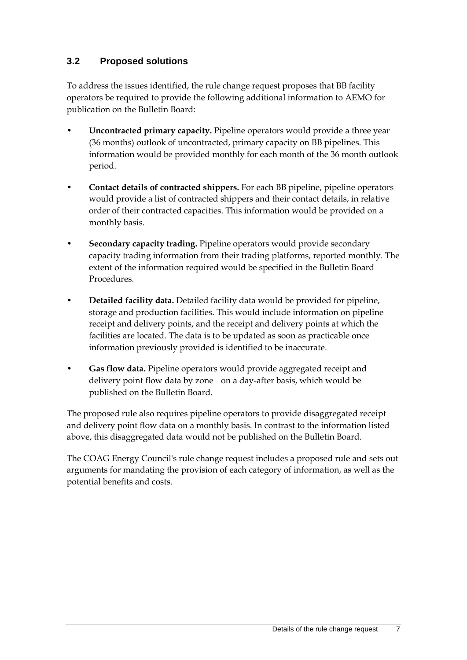### <span id="page-9-0"></span>**3.2 Proposed solutions**

To address the issues identified, the rule change request proposes that BB facility operators be required to provide the following additional information to AEMO for publication on the Bulletin Board:

- **Uncontracted primary capacity.** Pipeline operators would provide a three year (36 months) outlook of uncontracted, primary capacity on BB pipelines. This information would be provided monthly for each month of the 36 month outlook period.
- **Contact details of contracted shippers.** For each BB pipeline, pipeline operators would provide a list of contracted shippers and their contact details, in relative order of their contracted capacities. This information would be provided on a monthly basis.
- **Secondary capacity trading.** Pipeline operators would provide secondary capacity trading information from their trading platforms, reported monthly. The extent of the information required would be specified in the Bulletin Board Procedures.
- **Detailed facility data.** Detailed facility data would be provided for pipeline, storage and production facilities. This would include information on pipeline receipt and delivery points, and the receipt and delivery points at which the facilities are located. The data is to be updated as soon as practicable once information previously provided is identified to be inaccurate.
- **Gas flow data.** Pipeline operators would provide aggregated receipt and delivery point flow data by zone on a day-after basis, which would be published on the Bulletin Board.

The proposed rule also requires pipeline operators to provide disaggregated receipt and delivery point flow data on a monthly basis. In contrast to the information listed above, this disaggregated data would not be published on the Bulletin Board.

The COAG Energy Council's rule change request includes a proposed rule and sets out arguments for mandating the provision of each category of information, as well as the potential benefits and costs.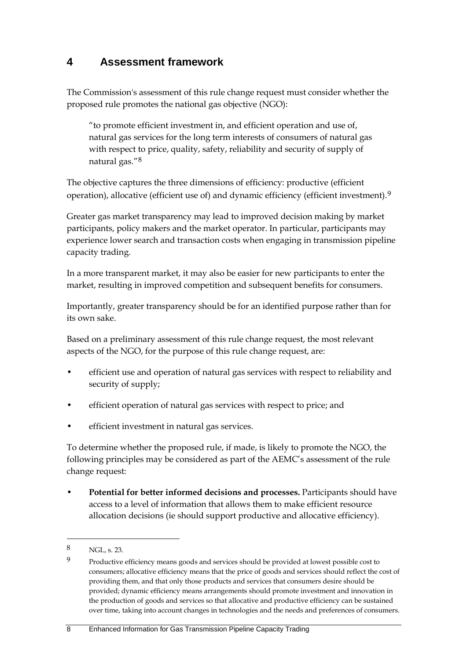# <span id="page-10-0"></span>**4 Assessment framework**

The Commission's assessment of this rule change request must consider whether the proposed rule promotes the national gas objective (NGO):

"to promote efficient investment in, and efficient operation and use of, natural gas services for the long term interests of consumers of natural gas with respect to price, quality, safety, reliability and security of supply of natural gas."[8](#page-10-1)

The objective captures the three dimensions of efficiency: productive (efficient operation), allocative (efficient use of) and dynamic efficiency (efficient investment).<sup>[9](#page-10-2)</sup>

Greater gas market transparency may lead to improved decision making by market participants, policy makers and the market operator. In particular, participants may experience lower search and transaction costs when engaging in transmission pipeline capacity trading.

In a more transparent market, it may also be easier for new participants to enter the market, resulting in improved competition and subsequent benefits for consumers.

Importantly, greater transparency should be for an identified purpose rather than for its own sake.

Based on a preliminary assessment of this rule change request, the most relevant aspects of the NGO, for the purpose of this rule change request, are:

- efficient use and operation of natural gas services with respect to reliability and security of supply;
- efficient operation of natural gas services with respect to price; and
- efficient investment in natural gas services.

To determine whether the proposed rule, if made, is likely to promote the NGO, the following principles may be considered as part of the AEMC's assessment of the rule change request:

• **Potential for better informed decisions and processes.** Participants should have access to a level of information that allows them to make efficient resource allocation decisions (ie should support productive and allocative efficiency).

<span id="page-10-1"></span><sup>8</sup> NGL, s. 23.

<span id="page-10-2"></span><sup>9</sup> Productive efficiency means goods and services should be provided at lowest possible cost to consumers; allocative efficiency means that the price of goods and services should reflect the cost of providing them, and that only those products and services that consumers desire should be provided; dynamic efficiency means arrangements should promote investment and innovation in the production of goods and services so that allocative and productive efficiency can be sustained over time, taking into account changes in technologies and the needs and preferences of consumers.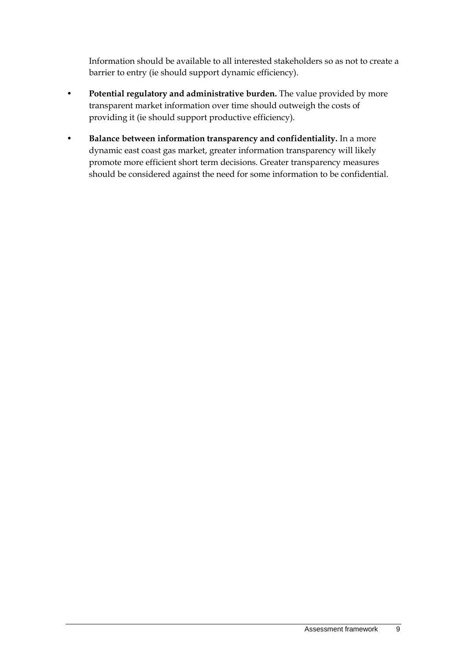Information should be available to all interested stakeholders so as not to create a barrier to entry (ie should support dynamic efficiency).

- **Potential regulatory and administrative burden.** The value provided by more transparent market information over time should outweigh the costs of providing it (ie should support productive efficiency).
- **Balance between information transparency and confidentiality.** In a more dynamic east coast gas market, greater information transparency will likely promote more efficient short term decisions. Greater transparency measures should be considered against the need for some information to be confidential.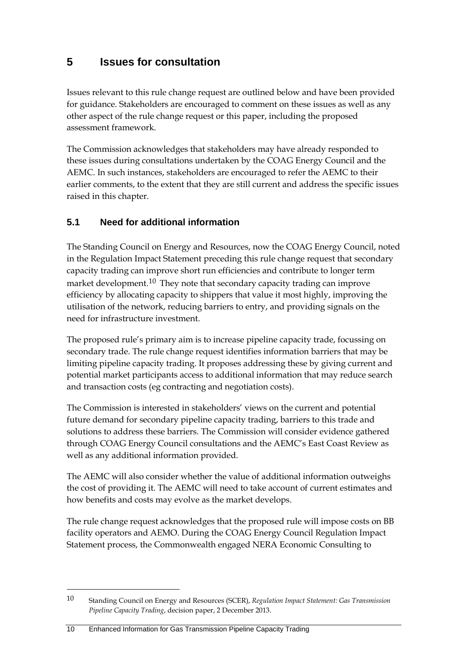# <span id="page-12-0"></span>**5 Issues for consultation**

Issues relevant to this rule change request are outlined below and have been provided for guidance. Stakeholders are encouraged to comment on these issues as well as any other aspect of the rule change request or this paper, including the proposed assessment framework.

The Commission acknowledges that stakeholders may have already responded to these issues during consultations undertaken by the COAG Energy Council and the AEMC. In such instances, stakeholders are encouraged to refer the AEMC to their earlier comments, to the extent that they are still current and address the specific issues raised in this chapter.

### <span id="page-12-1"></span>**5.1 Need for additional information**

The Standing Council on Energy and Resources, now the COAG Energy Council, noted in the Regulation Impact Statement preceding this rule change request that secondary capacity trading can improve short run efficiencies and contribute to longer term market development.<sup>[10](#page-12-2)</sup> They note that secondary capacity trading can improve efficiency by allocating capacity to shippers that value it most highly, improving the utilisation of the network, reducing barriers to entry, and providing signals on the need for infrastructure investment.

The proposed rule's primary aim is to increase pipeline capacity trade, focussing on secondary trade. The rule change request identifies information barriers that may be limiting pipeline capacity trading. It proposes addressing these by giving current and potential market participants access to additional information that may reduce search and transaction costs (eg contracting and negotiation costs).

The Commission is interested in stakeholders' views on the current and potential future demand for secondary pipeline capacity trading, barriers to this trade and solutions to address these barriers. The Commission will consider evidence gathered through COAG Energy Council consultations and the AEMC's East Coast Review as well as any additional information provided.

The AEMC will also consider whether the value of additional information outweighs the cost of providing it. The AEMC will need to take account of current estimates and how benefits and costs may evolve as the market develops.

The rule change request acknowledges that the proposed rule will impose costs on BB facility operators and AEMO. During the COAG Energy Council Regulation Impact Statement process, the Commonwealth engaged NERA Economic Consulting to

<span id="page-12-2"></span><sup>10</sup> Standing Council on Energy and Resources (SCER), *Regulation Impact Statement: Gas Transmission Pipeline Capacity Trading*, decision paper, 2 December 2013.

<sup>10</sup> Enhanced Information for Gas Transmission Pipeline Capacity Trading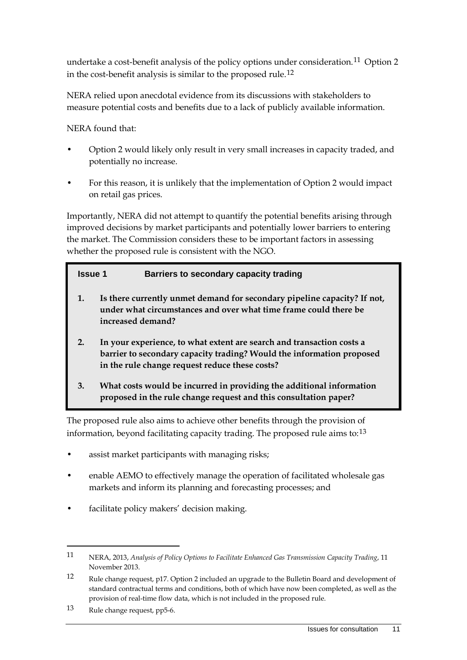undertake a cost-benefit analysis of the policy options under consideration.<sup>[11](#page-13-0)</sup> Option 2 in the cost-benefit analysis is similar to the proposed rule.[12](#page-13-1)

NERA relied upon anecdotal evidence from its discussions with stakeholders to measure potential costs and benefits due to a lack of publicly available information.

NERA found that:

- Option 2 would likely only result in very small increases in capacity traded, and potentially no increase.
- For this reason, it is unlikely that the implementation of Option 2 would impact on retail gas prices.

Importantly, NERA did not attempt to quantify the potential benefits arising through improved decisions by market participants and potentially lower barriers to entering the market. The Commission considers these to be important factors in assessing whether the proposed rule is consistent with the NGO.

#### **Issue 1 Barriers to secondary capacity trading**

- **1. Is there currently unmet demand for secondary pipeline capacity? If not, under what circumstances and over what time frame could there be increased demand?**
- **2. In your experience, to what extent are search and transaction costs a barrier to secondary capacity trading? Would the information proposed in the rule change request reduce these costs?**
- **3. What costs would be incurred in providing the additional information proposed in the rule change request and this consultation paper?**

The proposed rule also aims to achieve other benefits through the provision of information, beyond facilitating capacity trading. The proposed rule aims to: $^{13}$  $^{13}$  $^{13}$ 

- assist market participants with managing risks;
- enable AEMO to effectively manage the operation of facilitated wholesale gas markets and inform its planning and forecasting processes; and
- facilitate policy makers' decision making.

<span id="page-13-0"></span><sup>11</sup> NERA, 2013, *Analysis of Policy Options to Facilitate Enhanced Gas Transmission Capacity Trading*, 11 November 2013.

<span id="page-13-1"></span><sup>12</sup> Rule change request, p17. Option 2 included an upgrade to the Bulletin Board and development of standard contractual terms and conditions, both of which have now been completed, as well as the provision of real-time flow data, which is not included in the proposed rule.

<span id="page-13-2"></span><sup>13</sup> Rule change request, pp5-6.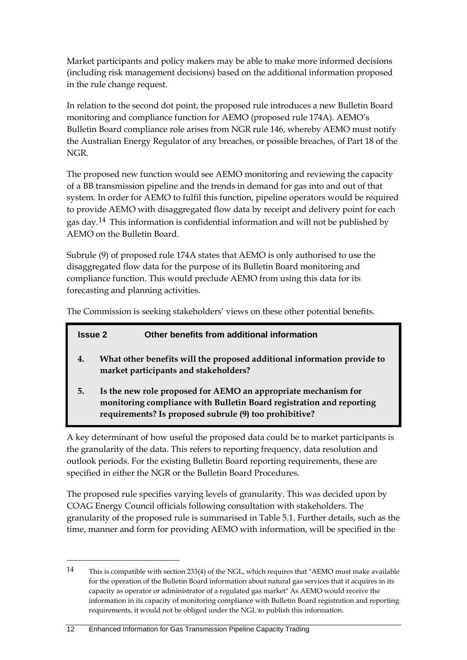Market participants and policy makers may be able to make more informed decisions (including risk management decisions) based on the additional information proposed in the rule change request.

In relation to the second dot point, the proposed rule introduces a new Bulletin Board monitoring and compliance function for AEMO (proposed rule 174A). AEMO's Bulletin Board compliance role arises from NGR rule 146, whereby AEMO must notify the Australian Energy Regulator of any breaches, or possible breaches, of Part 18 of the NGR.

The proposed new function would see AEMO monitoring and reviewing the capacity of a BB transmission pipeline and the trends in demand for gas into and out of that system. In order for AEMO to fulfil this function, pipeline operators would be required to provide AEMO with disaggregated flow data by receipt and delivery point for each gas day.[14](#page-14-0) This information is confidential information and will not be published by AEMO on the Bulletin Board.

Subrule (9) of proposed rule 174A states that AEMO is only authorised to use the disaggregated flow data for the purpose of its Bulletin Board monitoring and compliance function. This would preclude AEMO from using this data for its forecasting and planning activities.

The Commission is seeking stakeholders' views on these other potential benefits.

|    | Other benefits from additional information<br><b>Issue 2</b>                                                                                                                                     |
|----|--------------------------------------------------------------------------------------------------------------------------------------------------------------------------------------------------|
| 4. | What other benefits will the proposed additional information provide to<br>market participants and stakeholders?                                                                                 |
| 5. | Is the new role proposed for AEMO an appropriate mechanism for<br>monitoring compliance with Bulletin Board registration and reporting<br>requirements? Is proposed subrule (9) too prohibitive? |

A key determinant of how useful the proposed data could be to market participants is the granularity of the data. This refers to reporting frequency, data resolution and outlook periods. For the existing Bulletin Board reporting requirements, these are specified in either the NGR or the Bulletin Board Procedures.

The proposed rule specifies varying levels of granularity. This was decided upon by COAG Energy Council officials following consultation with stakeholders. The granularity of the proposed rule is summarised in Table 5.1. Further details, such as the time, manner and form for providing AEMO with information, will be specified in the

<span id="page-14-0"></span><sup>14</sup> This is compatible with section 233(4) of the NGL, which requires that "AEMO must make available for the operation of the Bulletin Board information about natural gas services that it acquires in its capacity as operator or administrator of a regulated gas market" As AEMO would receive the information in its capacity of monitoring compliance with Bulletin Board registration and reporting requirements, it would not be obliged under the NGL to publish this information.

<sup>12</sup> Enhanced Information for Gas Transmission Pipeline Capacity Trading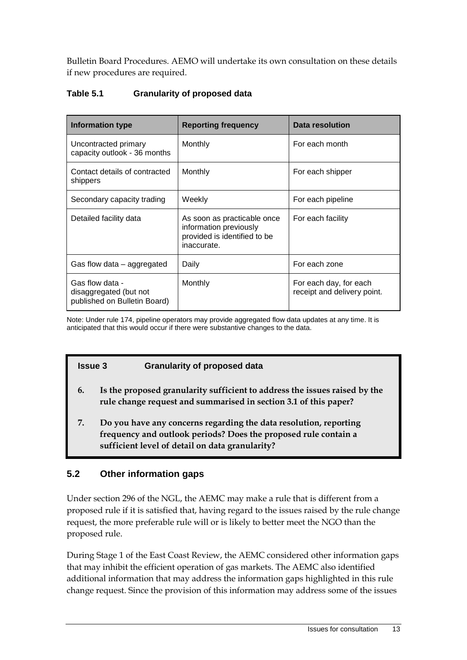Bulletin Board Procedures. AEMO will undertake its own consultation on these details if new procedures are required.

#### **Table 5.1 Granularity of proposed data**

| <b>Information type</b>                                                   | <b>Reporting frequency</b>                                                                           | Data resolution                                       |
|---------------------------------------------------------------------------|------------------------------------------------------------------------------------------------------|-------------------------------------------------------|
| Uncontracted primary<br>capacity outlook - 36 months                      | Monthly                                                                                              | For each month                                        |
| Contact details of contracted<br>shippers                                 | Monthly                                                                                              | For each shipper                                      |
| Secondary capacity trading                                                | Weekly                                                                                               | For each pipeline                                     |
| Detailed facility data                                                    | As soon as practicable once<br>information previously<br>provided is identified to be<br>inaccurate. | For each facility                                     |
| Gas flow data $-$ aggregated                                              | Daily                                                                                                | For each zone                                         |
| Gas flow data -<br>disaggregated (but not<br>published on Bulletin Board) | Monthly                                                                                              | For each day, for each<br>receipt and delivery point. |

Note: Under rule 174, pipeline operators may provide aggregated flow data updates at any time. It is anticipated that this would occur if there were substantive changes to the data.

#### **Issue 3 Granularity of proposed data**

- **6. Is the proposed granularity sufficient to address the issues raised by the rule change request and summarised in section [3.1](#page-8-1) of this paper?**
- **7. Do you have any concerns regarding the data resolution, reporting frequency and outlook periods? Does the proposed rule contain a sufficient level of detail on data granularity?**

#### <span id="page-15-0"></span>**5.2 Other information gaps**

Under section 296 of the NGL, the AEMC may make a rule that is different from a proposed rule if it is satisfied that, having regard to the issues raised by the rule change request, the more preferable rule will or is likely to better meet the NGO than the proposed rule.

During Stage 1 of the East Coast Review, the AEMC considered other information gaps that may inhibit the efficient operation of gas markets. The AEMC also identified additional information that may address the information gaps highlighted in this rule change request. Since the provision of this information may address some of the issues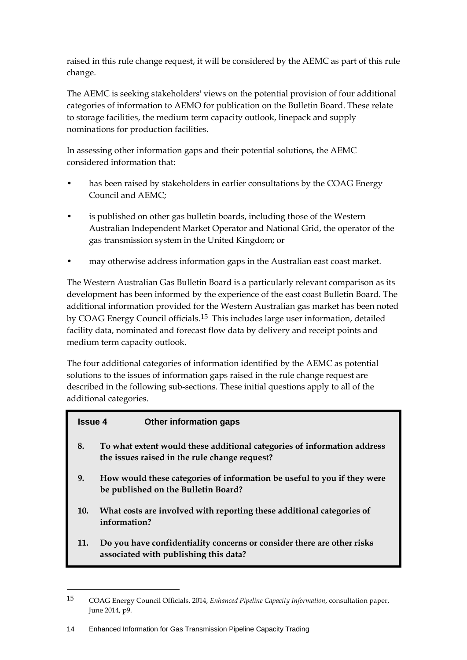raised in this rule change request, it will be considered by the AEMC as part of this rule change.

The AEMC is seeking stakeholders' views on the potential provision of four additional categories of information to AEMO for publication on the Bulletin Board. These relate to storage facilities, the medium term capacity outlook, linepack and supply nominations for production facilities.

In assessing other information gaps and their potential solutions, the AEMC considered information that:

- has been raised by stakeholders in earlier consultations by the COAG Energy Council and AEMC;
- is published on other gas bulletin boards, including those of the Western Australian Independent Market Operator and National Grid, the operator of the gas transmission system in the United Kingdom; or
- may otherwise address information gaps in the Australian east coast market.

The Western Australian Gas Bulletin Board is a particularly relevant comparison as its development has been informed by the experience of the east coast Bulletin Board. The additional information provided for the Western Australian gas market has been noted by COAG Energy Council officials.[15](#page-16-0) This includes large user information, detailed facility data, nominated and forecast flow data by delivery and receipt points and medium term capacity outlook.

The four additional categories of information identified by the AEMC as potential solutions to the issues of information gaps raised in the rule change request are described in the following sub-sections. These initial questions apply to all of the additional categories.

| <b>Issue 4</b> | Other information gaps                                                                                                   |
|----------------|--------------------------------------------------------------------------------------------------------------------------|
| 8.             | To what extent would these additional categories of information address<br>the issues raised in the rule change request? |
| 9.             | How would these categories of information be useful to you if they were<br>be published on the Bulletin Board?           |
| 10.            | What costs are involved with reporting these additional categories of<br>information?                                    |
| 11.            | Do you have confidentiality concerns or consider there are other risks<br>associated with publishing this data?          |
|                |                                                                                                                          |

<span id="page-16-0"></span><sup>15</sup> COAG Energy Council Officials, 2014, *Enhanced Pipeline Capacity Information*, consultation paper, June 2014, p9.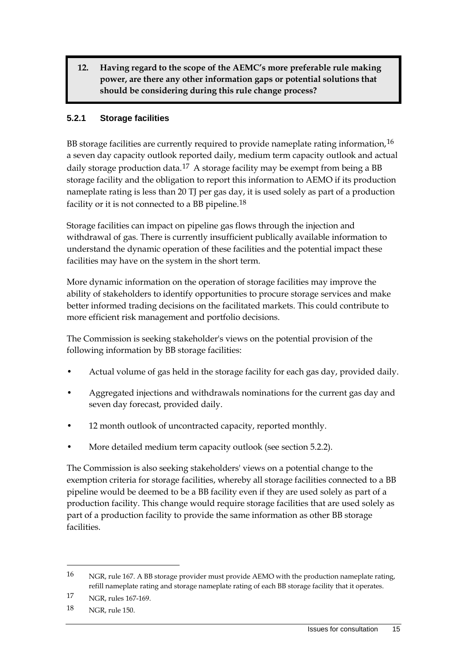**12. Having regard to the scope of the AEMC's more preferable rule making power, are there any other information gaps or potential solutions that should be considering during this rule change process?**

#### **5.2.1 Storage facilities**

BB storage facilities are currently required to provide nameplate rating information,  $16$ a seven day capacity outlook reported daily, medium term capacity outlook and actual daily storage production data.<sup>[17](#page-17-1)</sup> A storage facility may be exempt from being a BB storage facility and the obligation to report this information to AEMO if its production nameplate rating is less than 20 TJ per gas day, it is used solely as part of a production facility or it is not connected to a BB pipeline.<sup>[18](#page-17-2)</sup>

Storage facilities can impact on pipeline gas flows through the injection and withdrawal of gas. There is currently insufficient publically available information to understand the dynamic operation of these facilities and the potential impact these facilities may have on the system in the short term.

More dynamic information on the operation of storage facilities may improve the ability of stakeholders to identify opportunities to procure storage services and make better informed trading decisions on the facilitated markets. This could contribute to more efficient risk management and portfolio decisions.

The Commission is seeking stakeholder's views on the potential provision of the following information by BB storage facilities:

- Actual volume of gas held in the storage facility for each gas day, provided daily.
- Aggregated injections and withdrawals nominations for the current gas day and seven day forecast, provided daily.
- 12 month outlook of uncontracted capacity, reported monthly.
- More detailed medium term capacity outlook (see section 5.2.2).

The Commission is also seeking stakeholders' views on a potential change to the exemption criteria for storage facilities, whereby all storage facilities connected to a BB pipeline would be deemed to be a BB facility even if they are used solely as part of a production facility. This change would require storage facilities that are used solely as part of a production facility to provide the same information as other BB storage facilities.

<span id="page-17-0"></span><sup>16</sup> NGR, rule 167. A BB storage provider must provide AEMO with the production nameplate rating, refill nameplate rating and storage nameplate rating of each BB storage facility that it operates.

<span id="page-17-1"></span><sup>17</sup> NGR, rules 167-169.

<span id="page-17-2"></span><sup>18</sup> NGR, rule 150.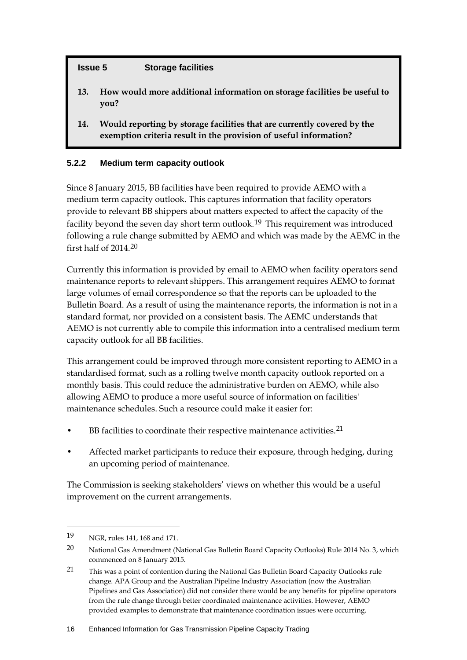#### **Issue 5 Storage facilities**

- **13. How would more additional information on storage facilities be useful to you?**
- **14. Would reporting by storage facilities that are currently covered by the exemption criteria result in the provision of useful information?**

#### **5.2.2 Medium term capacity outlook**

Since 8 January 2015, BB facilities have been required to provide AEMO with a medium term capacity outlook. This captures information that facility operators provide to relevant BB shippers about matters expected to affect the capacity of the facility beyond the seven day short term outlook.<sup>[19](#page-18-0)</sup> This requirement was introduced following a rule change submitted by AEMO and which was made by the AEMC in the first half of 2014.[20](#page-18-1)

Currently this information is provided by email to AEMO when facility operators send maintenance reports to relevant shippers. This arrangement requires AEMO to format large volumes of email correspondence so that the reports can be uploaded to the Bulletin Board. As a result of using the maintenance reports, the information is not in a standard format, nor provided on a consistent basis. The AEMC understands that AEMO is not currently able to compile this information into a centralised medium term capacity outlook for all BB facilities.

This arrangement could be improved through more consistent reporting to AEMO in a standardised format, such as a rolling twelve month capacity outlook reported on a monthly basis. This could reduce the administrative burden on AEMO, while also allowing AEMO to produce a more useful source of information on facilities' maintenance schedules. Such a resource could make it easier for:

- BB facilities to coordinate their respective maintenance activities.<sup>[21](#page-18-2)</sup>
- Affected market participants to reduce their exposure, through hedging, during an upcoming period of maintenance.

The Commission is seeking stakeholders' views on whether this would be a useful improvement on the current arrangements.

<span id="page-18-0"></span><sup>19</sup> NGR, rules 141, 168 and 171.

<span id="page-18-1"></span><sup>20</sup> National Gas Amendment (National Gas Bulletin Board Capacity Outlooks) Rule 2014 No. 3, which commenced on 8 January 2015.

<span id="page-18-2"></span><sup>21</sup> This was a point of contention during the National Gas Bulletin Board Capacity Outlooks rule change. APA Group and the Australian Pipeline Industry Association (now the Australian Pipelines and Gas Association) did not consider there would be any benefits for pipeline operators from the rule change through better coordinated maintenance activities. However, AEMO provided examples to demonstrate that maintenance coordination issues were occurring.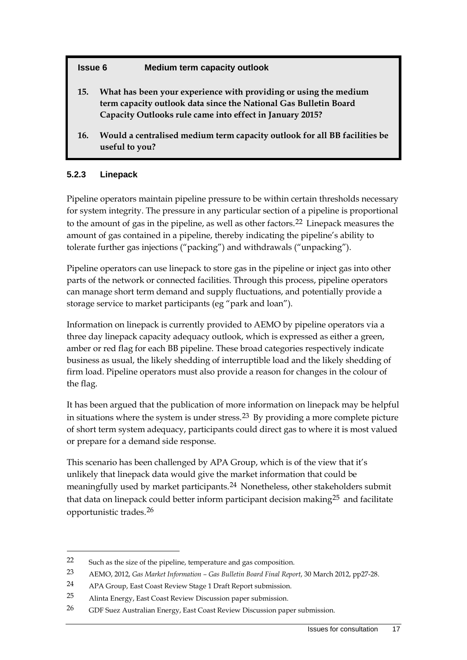#### **Issue 6 Medium term capacity outlook**

- **15. What has been your experience with providing or using the medium term capacity outlook data since the National Gas Bulletin Board Capacity Outlooks rule came into effect in January 2015?**
- **16. Would a centralised medium term capacity outlook for all BB facilities be useful to you?**

#### **5.2.3 Linepack**

-

Pipeline operators maintain pipeline pressure to be within certain thresholds necessary for system integrity. The pressure in any particular section of a pipeline is proportional to the amount of gas in the pipeline, as well as other factors.[22](#page-19-0) Linepack measures the amount of gas contained in a pipeline, thereby indicating the pipeline's ability to tolerate further gas injections ("packing") and withdrawals ("unpacking").

Pipeline operators can use linepack to store gas in the pipeline or inject gas into other parts of the network or connected facilities. Through this process, pipeline operators can manage short term demand and supply fluctuations, and potentially provide a storage service to market participants (eg "park and loan").

Information on linepack is currently provided to AEMO by pipeline operators via a three day linepack capacity adequacy outlook, which is expressed as either a green, amber or red flag for each BB pipeline. These broad categories respectively indicate business as usual, the likely shedding of interruptible load and the likely shedding of firm load. Pipeline operators must also provide a reason for changes in the colour of the flag.

It has been argued that the publication of more information on linepack may be helpful in situations where the system is under stress.<sup>[23](#page-19-1)</sup> By providing a more complete picture of short term system adequacy, participants could direct gas to where it is most valued or prepare for a demand side response.

This scenario has been challenged by APA Group, which is of the view that it's unlikely that linepack data would give the market information that could be meaningfully used by market participants.[24](#page-19-2) Nonetheless, other stakeholders submit that data on linepack could better inform participant decision making<sup>[25](#page-19-3)</sup> and facilitate opportunistic trades.[26](#page-19-4)

<span id="page-19-0"></span><sup>22</sup> Such as the size of the pipeline, temperature and gas composition.

<span id="page-19-1"></span><sup>23</sup> AEMO, 2012, *Gas Market Information – Gas Bulletin Board Final Report*, 30 March 2012, pp27-28.

<span id="page-19-2"></span><sup>24</sup> APA Group, East Coast Review Stage 1 Draft Report submission.

<span id="page-19-3"></span><sup>25</sup> Alinta Energy, East Coast Review Discussion paper submission.

<span id="page-19-4"></span><sup>26</sup> GDF Suez Australian Energy, East Coast Review Discussion paper submission.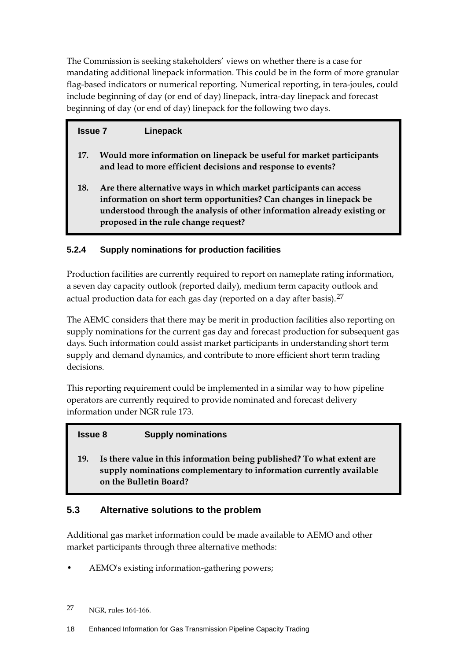The Commission is seeking stakeholders' views on whether there is a case for mandating additional linepack information. This could be in the form of more granular flag-based indicators or numerical reporting. Numerical reporting, in tera-joules, could include beginning of day (or end of day) linepack, intra-day linepack and forecast beginning of day (or end of day) linepack for the following two days.

### **Issue 7 Linepack**

- **17. Would more information on linepack be useful for market participants and lead to more efficient decisions and response to events?**
- **18. Are there alternative ways in which market participants can access information on short term opportunities? Can changes in linepack be understood through the analysis of other information already existing or proposed in the rule change request?**

#### **5.2.4 Supply nominations for production facilities**

Production facilities are currently required to report on nameplate rating information, a seven day capacity outlook (reported daily), medium term capacity outlook and actual production data for each gas day (reported on a day after basis). $27$ 

The AEMC considers that there may be merit in production facilities also reporting on supply nominations for the current gas day and forecast production for subsequent gas days. Such information could assist market participants in understanding short term supply and demand dynamics, and contribute to more efficient short term trading decisions.

This reporting requirement could be implemented in a similar way to how pipeline operators are currently required to provide nominated and forecast delivery information under NGR rule 173.

#### **Issue 8 Supply nominations**

**19. Is there value in this information being published? To what extent are supply nominations complementary to information currently available on the Bulletin Board?**

#### <span id="page-20-0"></span>**5.3 Alternative solutions to the problem**

Additional gas market information could be made available to AEMO and other market participants through three alternative methods:

• AEMO's existing information-gathering powers;

<span id="page-20-1"></span><sup>27</sup> NGR, rules 164-166.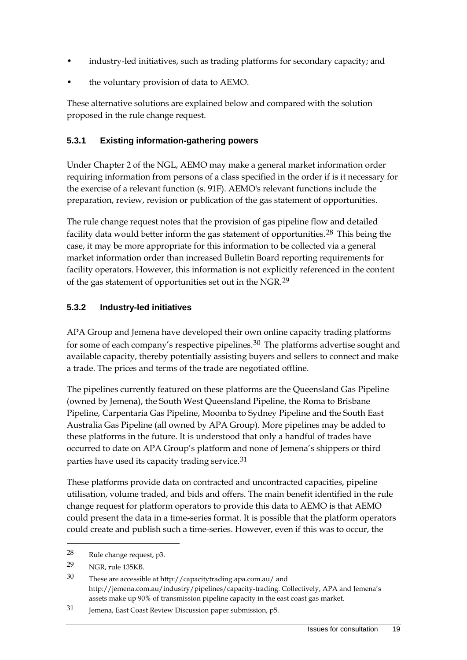- industry-led initiatives, such as trading platforms for secondary capacity; and
- the voluntary provision of data to AEMO.

These alternative solutions are explained below and compared with the solution proposed in the rule change request.

#### **5.3.1 Existing information-gathering powers**

Under Chapter 2 of the NGL, AEMO may make a general market information order requiring information from persons of a class specified in the order if is it necessary for the exercise of a relevant function (s. 91F). AEMO's relevant functions include the preparation, review, revision or publication of the gas statement of opportunities.

The rule change request notes that the provision of gas pipeline flow and detailed facility data would better inform the gas statement of opportunities.[28](#page-21-0) This being the case, it may be more appropriate for this information to be collected via a general market information order than increased Bulletin Board reporting requirements for facility operators. However, this information is not explicitly referenced in the content of the gas statement of opportunities set out in the NGR.[29](#page-21-1)

#### **5.3.2 Industry-led initiatives**

APA Group and Jemena have developed their own online capacity trading platforms for some of each company's respective pipelines.<sup>[30](#page-21-2)</sup> The platforms advertise sought and available capacity, thereby potentially assisting buyers and sellers to connect and make a trade. The prices and terms of the trade are negotiated offline.

The pipelines currently featured on these platforms are the Queensland Gas Pipeline (owned by Jemena), the South West Queensland Pipeline, the Roma to Brisbane Pipeline, Carpentaria Gas Pipeline, Moomba to Sydney Pipeline and the South East Australia Gas Pipeline (all owned by APA Group). More pipelines may be added to these platforms in the future. It is understood that only a handful of trades have occurred to date on APA Group's platform and none of Jemena's shippers or third parties have used its capacity trading service.<sup>[31](#page-21-3)</sup>

These platforms provide data on contracted and uncontracted capacities, pipeline utilisation, volume traded, and bids and offers. The main benefit identified in the rule change request for platform operators to provide this data to AEMO is that AEMO could present the data in a time-series format. It is possible that the platform operators could create and publish such a time-series. However, even if this was to occur, the

<span id="page-21-0"></span><sup>28</sup> Rule change request, p3.

<span id="page-21-1"></span><sup>29</sup> NGR, rule 135KB.

<span id="page-21-2"></span><sup>30</sup> These are accessible at http://capacitytrading.apa.com.au/ and http://jemena.com.au/industry/pipelines/capacity-trading. Collectively, APA and Jemena's assets make up 90% of transmission pipeline capacity in the east coast gas market.

<span id="page-21-3"></span><sup>31</sup> Jemena, East Coast Review Discussion paper submission, p5.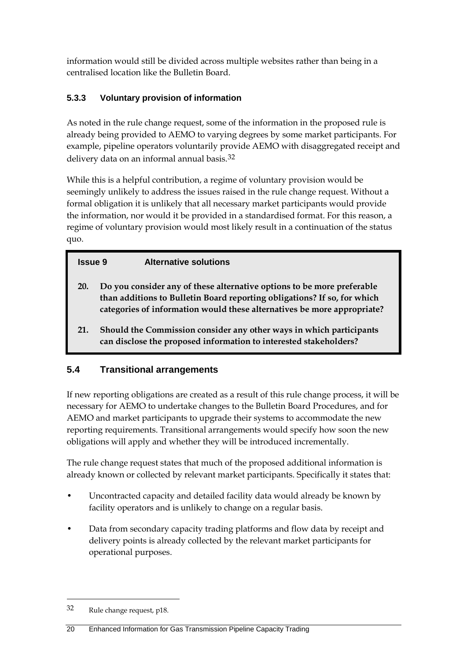information would still be divided across multiple websites rather than being in a centralised location like the Bulletin Board.

### **5.3.3 Voluntary provision of information**

As noted in the rule change request, some of the information in the proposed rule is already being provided to AEMO to varying degrees by some market participants. For example, pipeline operators voluntarily provide AEMO with disaggregated receipt and delivery data on an informal annual basis.[32](#page-22-1)

While this is a helpful contribution, a regime of voluntary provision would be seemingly unlikely to address the issues raised in the rule change request. Without a formal obligation it is unlikely that all necessary market participants would provide the information, nor would it be provided in a standardised format. For this reason, a regime of voluntary provision would most likely result in a continuation of the status quo.

#### **Issue 9 Alternative solutions**

- **20. Do you consider any of these alternative options to be more preferable than additions to Bulletin Board reporting obligations? If so, for which categories of information would these alternatives be more appropriate?**
- **21. Should the Commission consider any other ways in which participants can disclose the proposed information to interested stakeholders?**

### <span id="page-22-0"></span>**5.4 Transitional arrangements**

If new reporting obligations are created as a result of this rule change process, it will be necessary for AEMO to undertake changes to the Bulletin Board Procedures, and for AEMO and market participants to upgrade their systems to accommodate the new reporting requirements. Transitional arrangements would specify how soon the new obligations will apply and whether they will be introduced incrementally.

The rule change request states that much of the proposed additional information is already known or collected by relevant market participants. Specifically it states that:

- Uncontracted capacity and detailed facility data would already be known by facility operators and is unlikely to change on a regular basis.
- Data from secondary capacity trading platforms and flow data by receipt and delivery points is already collected by the relevant market participants for operational purposes.

<span id="page-22-1"></span><sup>32</sup> Rule change request, p18.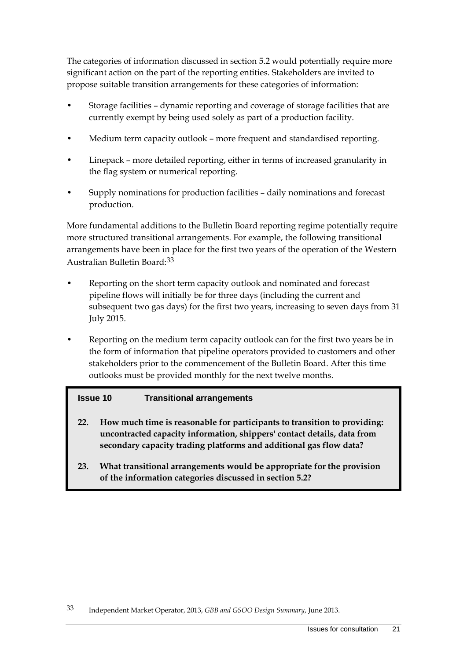The categories of information discussed in section [5.2](#page-15-0) would potentially require more significant action on the part of the reporting entities. Stakeholders are invited to propose suitable transition arrangements for these categories of information:

- Storage facilities dynamic reporting and coverage of storage facilities that are currently exempt by being used solely as part of a production facility.
- Medium term capacity outlook more frequent and standardised reporting.
- Linepack more detailed reporting, either in terms of increased granularity in the flag system or numerical reporting.
- Supply nominations for production facilities daily nominations and forecast production.

More fundamental additions to the Bulletin Board reporting regime potentially require more structured transitional arrangements. For example, the following transitional arrangements have been in place for the first two years of the operation of the Western Australian Bulletin Board:[33](#page-23-0)

- Reporting on the short term capacity outlook and nominated and forecast pipeline flows will initially be for three days (including the current and subsequent two gas days) for the first two years, increasing to seven days from 31 July 2015.
- Reporting on the medium term capacity outlook can for the first two years be in the form of information that pipeline operators provided to customers and other stakeholders prior to the commencement of the Bulletin Board. After this time outlooks must be provided monthly for the next twelve months.

#### **Issue 10 Transitional arrangements**

- **22. How much time is reasonable for participants to transition to providing: uncontracted capacity information, shippers' contact details, data from secondary capacity trading platforms and additional gas flow data?**
- **23. What transitional arrangements would be appropriate for the provision of the information categories discussed in section [5.2?](#page-15-0)**

<span id="page-23-0"></span><sup>33</sup> Independent Market Operator, 2013, *GBB and GSOO Design Summary*, June 2013.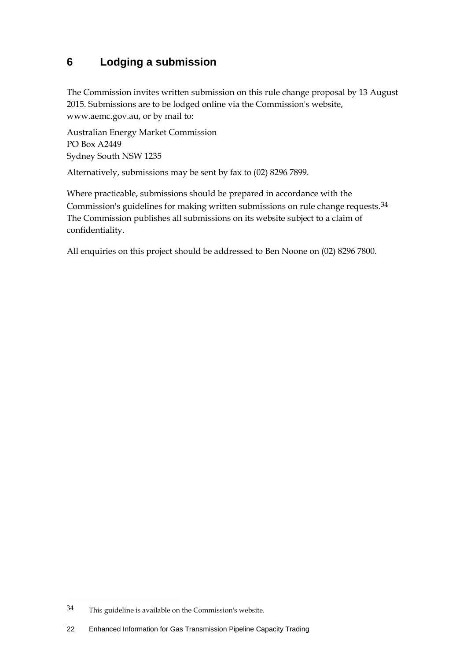### <span id="page-24-0"></span>**6 Lodging a submission**

The Commission invites written submission on this rule change proposal by 13 August 2015. Submissions are to be lodged online via the Commission's website, www.aemc.gov.au, or by mail to:

Australian Energy Market Commission PO Box A2449 Sydney South NSW 1235

Alternatively, submissions may be sent by fax to (02) 8296 7899.

Where practicable, submissions should be prepared in accordance with the Commission's guidelines for making written submissions on rule change requests.<sup>[34](#page-24-1)</sup> The Commission publishes all submissions on its website subject to a claim of confidentiality.

All enquiries on this project should be addressed to Ben Noone on (02) 8296 7800.

<span id="page-24-1"></span><sup>34</sup> This guideline is available on the Commission's website.